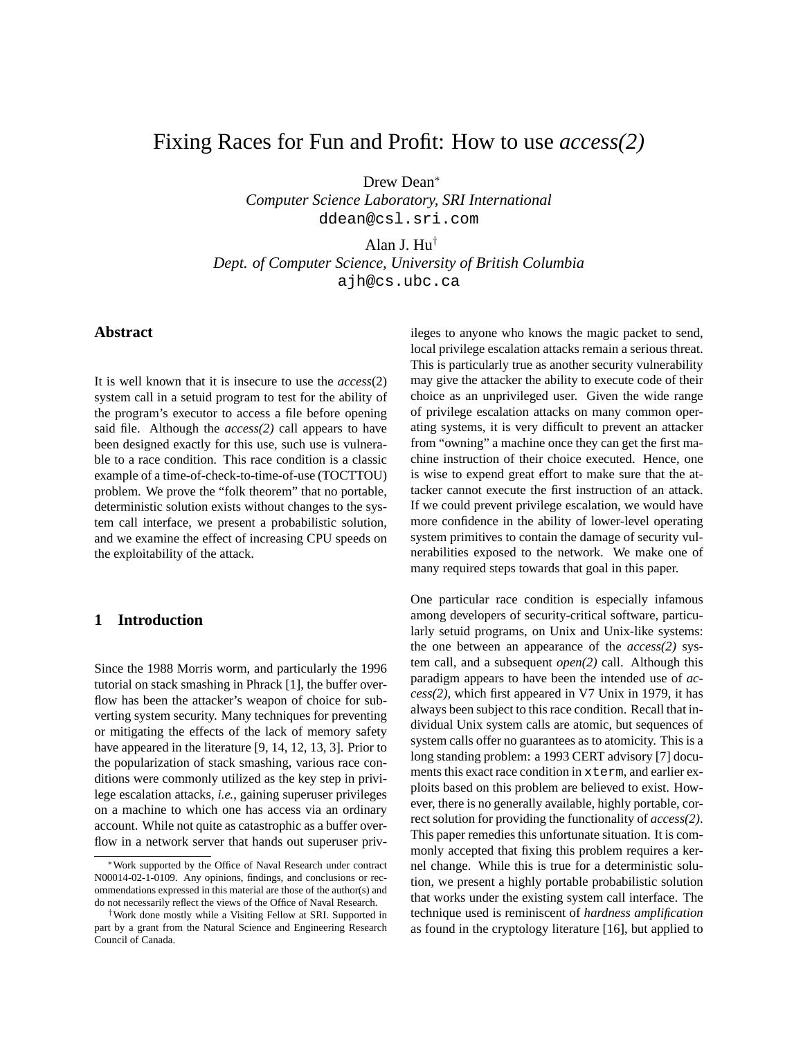# Fixing Races for Fun and Profit: How to use *access(2)*

Drew Dean<sup>∗</sup>

*Computer Science Laboratory, SRI International* ddean@csl.sri.com

Alan J. Hu†

*Dept. of Computer Science, University of British Columbia* ajh@cs.ubc.ca

# **Abstract**

It is well known that it is insecure to use the *access*(2) system call in a setuid program to test for the ability of the program's executor to access a file before opening said file. Although the *access(2)* call appears to have been designed exactly for this use, such use is vulnerable to a race condition. This race condition is a classic example of a time-of-check-to-time-of-use (TOCTTOU) problem. We prove the "folk theorem" that no portable, deterministic solution exists without changes to the system call interface, we present a probabilistic solution, and we examine the effect of increasing CPU speeds on the exploitability of the attack.

# **1 Introduction**

Since the 1988 Morris worm, and particularly the 1996 tutorial on stack smashing in Phrack [1], the buffer overflow has been the attacker's weapon of choice for subverting system security. Many techniques for preventing or mitigating the effects of the lack of memory safety have appeared in the literature [9, 14, 12, 13, 3]. Prior to the popularization of stack smashing, various race conditions were commonly utilized as the key step in privilege escalation attacks, *i.e.*, gaining superuser privileges on a machine to which one has access via an ordinary account. While not quite as catastrophic as a buffer overflow in a network server that hands out superuser privileges to anyone who knows the magic packet to send, local privilege escalation attacks remain a serious threat. This is particularly true as another security vulnerability may give the attacker the ability to execute code of their choice as an unprivileged user. Given the wide range of privilege escalation attacks on many common operating systems, it is very difficult to prevent an attacker from "owning" a machine once they can get the first machine instruction of their choice executed. Hence, one is wise to expend great effort to make sure that the attacker cannot execute the first instruction of an attack. If we could prevent privilege escalation, we would have more confidence in the ability of lower-level operating system primitives to contain the damage of security vulnerabilities exposed to the network. We make one of many required steps towards that goal in this paper.

One particular race condition is especially infamous among developers of security-critical software, particularly setuid programs, on Unix and Unix-like systems: the one between an appearance of the *access(2)* system call, and a subsequent *open(2)* call. Although this paradigm appears to have been the intended use of *access(2)*, which first appeared in V7 Unix in 1979, it has always been subject to this race condition. Recall that individual Unix system calls are atomic, but sequences of system calls offer no guarantees as to atomicity. This is a long standing problem: a 1993 CERT advisory [7] documents this exact race condition in xterm, and earlier exploits based on this problem are believed to exist. However, there is no generally available, highly portable, correct solution for providing the functionality of *access(2)*. This paper remedies this unfortunate situation. It is commonly accepted that fixing this problem requires a kernel change. While this is true for a deterministic solution, we present a highly portable probabilistic solution that works under the existing system call interface. The technique used is reminiscent of *hardness amplification* as found in the cryptology literature [16], but applied to

Work supported by the Office of Naval Research under contract N00014-02-1-0109. Any opinions, findings, and conclusions or recommendations expressed in this material are those of the author(s) and do not necessarily reflect the views of the Office of Naval Research.

<sup>†</sup>Work done mostly while a Visiting Fellow at SRI. Supported in part by a grant from the Natural Science and Engineering Research Council of Canada.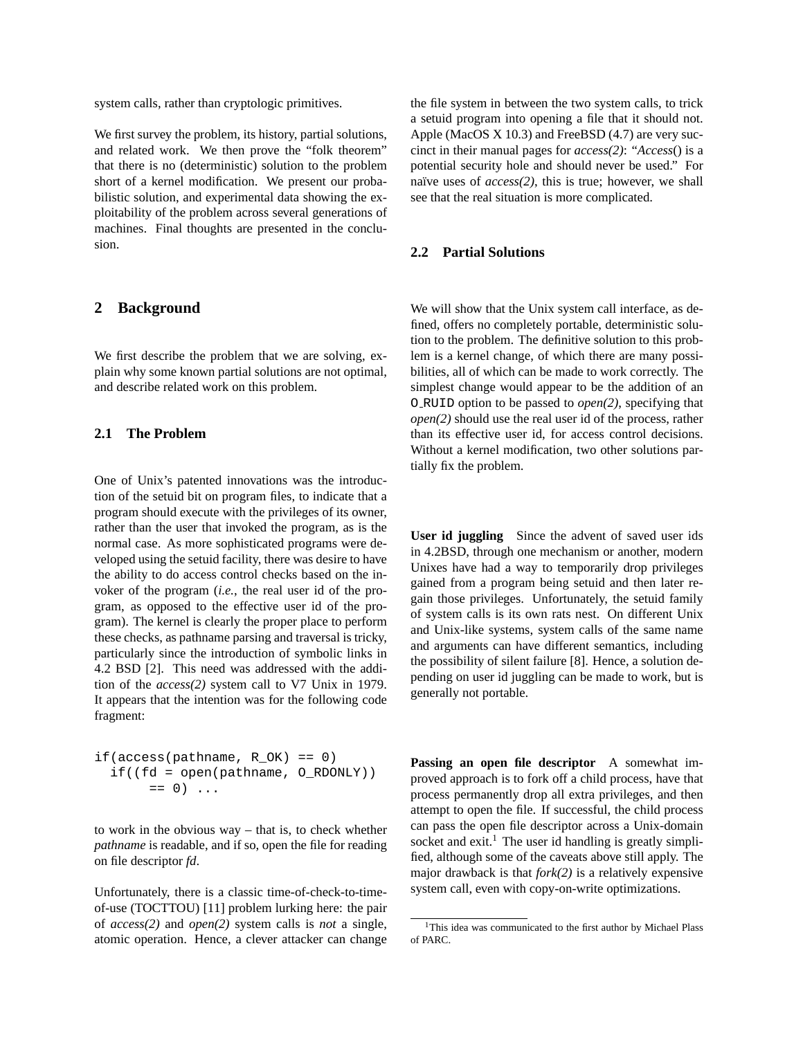system calls, rather than cryptologic primitives.

We first survey the problem, its history, partial solutions, and related work. We then prove the "folk theorem" that there is no (deterministic) solution to the problem short of a kernel modification. We present our probabilistic solution, and experimental data showing the exploitability of the problem across several generations of machines. Final thoughts are presented in the conclusion.

# **2 Background**

We first describe the problem that we are solving, explain why some known partial solutions are not optimal, and describe related work on this problem.

#### **2.1 The Problem**

One of Unix's patented innovations was the introduction of the setuid bit on program files, to indicate that a program should execute with the privileges of its owner, rather than the user that invoked the program, as is the normal case. As more sophisticated programs were developed using the setuid facility, there was desire to have the ability to do access control checks based on the invoker of the program (*i.e.*, the real user id of the program, as opposed to the effective user id of the program). The kernel is clearly the proper place to perform these checks, as pathname parsing and traversal is tricky, particularly since the introduction of symbolic links in 4.2 BSD [2]. This need was addressed with the addition of the *access(2)* system call to V7 Unix in 1979. It appears that the intention was for the following code fragment:

```
if(\arccos(\text{pathname}, R_OK) == 0)if((fd = open(pathname, O_RDOMLY))== 0) ...
```
to work in the obvious way – that is, to check whether *pathname* is readable, and if so, open the file for reading on file descriptor *fd*.

Unfortunately, there is a classic time-of-check-to-timeof-use (TOCTTOU) [11] problem lurking here: the pair of *access(2)* and *open(2)* system calls is *not* a single, atomic operation. Hence, a clever attacker can change the file system in between the two system calls, to trick a setuid program into opening a file that it should not. Apple (MacOS X 10.3) and FreeBSD (4.7) are very succinct in their manual pages for *access(2)*: "*Access*() is a potential security hole and should never be used." For naïve uses of  $access(2)$ , this is true; however, we shall see that the real situation is more complicated.

### **2.2 Partial Solutions**

We will show that the Unix system call interface, as defined, offers no completely portable, deterministic solution to the problem. The definitive solution to this problem is a kernel change, of which there are many possibilities, all of which can be made to work correctly. The simplest change would appear to be the addition of an O RUID option to be passed to *open(2)*, specifying that *open(2)* should use the real user id of the process, rather than its effective user id, for access control decisions. Without a kernel modification, two other solutions partially fix the problem.

**User id juggling** Since the advent of saved user ids in 4.2BSD, through one mechanism or another, modern Unixes have had a way to temporarily drop privileges gained from a program being setuid and then later regain those privileges. Unfortunately, the setuid family of system calls is its own rats nest. On different Unix and Unix-like systems, system calls of the same name and arguments can have different semantics, including the possibility of silent failure [8]. Hence, a solution depending on user id juggling can be made to work, but is generally not portable.

**Passing an open file descriptor** A somewhat improved approach is to fork off a child process, have that process permanently drop all extra privileges, and then attempt to open the file. If successful, the child process can pass the open file descriptor across a Unix-domain socket and exit.<sup>1</sup> The user id handling is greatly simplified, although some of the caveats above still apply. The major drawback is that *fork(2)* is a relatively expensive system call, even with copy-on-write optimizations.

<sup>&</sup>lt;sup>1</sup>This idea was communicated to the first author by Michael Plass of PARC.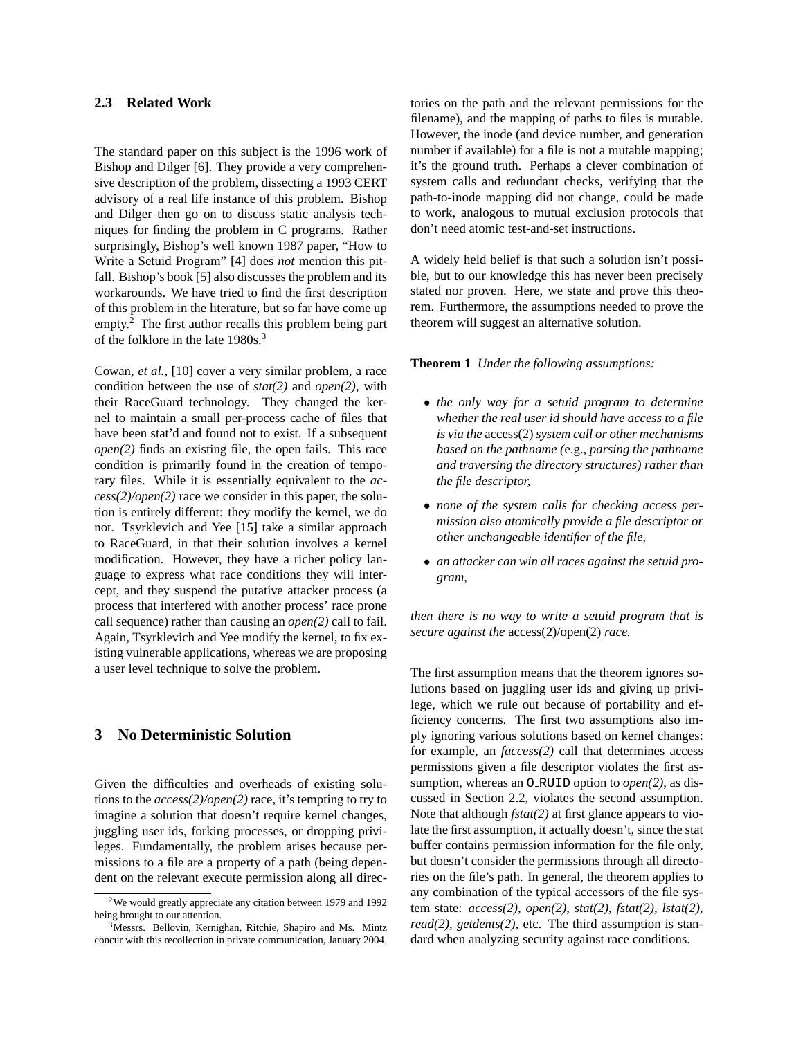#### **2.3 Related Work**

The standard paper on this subject is the 1996 work of Bishop and Dilger [6]. They provide a very comprehensive description of the problem, dissecting a 1993 CERT advisory of a real life instance of this problem. Bishop and Dilger then go on to discuss static analysis techniques for finding the problem in C programs. Rather surprisingly, Bishop's well known 1987 paper, "How to Write a Setuid Program" [4] does *not* mention this pitfall. Bishop's book [5] also discusses the problem and its workarounds. We have tried to find the first description of this problem in the literature, but so far have come up empty.<sup>2</sup> The first author recalls this problem being part of the folklore in the late 1980s.<sup>3</sup>

Cowan, *et al.*, [10] cover a very similar problem, a race condition between the use of *stat(2)* and *open(2)*, with their RaceGuard technology. They changed the kernel to maintain a small per-process cache of files that have been stat'd and found not to exist. If a subsequent *open(2)* finds an existing file, the open fails. This race condition is primarily found in the creation of temporary files. While it is essentially equivalent to the *access(2)/open(2)* race we consider in this paper, the solution is entirely different: they modify the kernel, we do not. Tsyrklevich and Yee [15] take a similar approach to RaceGuard, in that their solution involves a kernel modification. However, they have a richer policy language to express what race conditions they will intercept, and they suspend the putative attacker process (a process that interfered with another process' race prone call sequence) rather than causing an *open(2)* call to fail. Again, Tsyrklevich and Yee modify the kernel, to fix existing vulnerable applications, whereas we are proposing a user level technique to solve the problem.

# **3 No Deterministic Solution**

Given the difficulties and overheads of existing solutions to the *access(2)/open(2)* race, it's tempting to try to imagine a solution that doesn't require kernel changes, juggling user ids, forking processes, or dropping privileges. Fundamentally, the problem arises because permissions to a file are a property of a path (being dependent on the relevant execute permission along all directories on the path and the relevant permissions for the filename), and the mapping of paths to files is mutable. However, the inode (and device number, and generation number if available) for a file is not a mutable mapping; it's the ground truth. Perhaps a clever combination of system calls and redundant checks, verifying that the path-to-inode mapping did not change, could be made to work, analogous to mutual exclusion protocols that don't need atomic test-and-set instructions.

A widely held belief is that such a solution isn't possible, but to our knowledge this has never been precisely stated nor proven. Here, we state and prove this theorem. Furthermore, the assumptions needed to prove the theorem will suggest an alternative solution.

**Theorem 1** *Under the following assumptions:*

- *the only way for a setuid program to determine whether the real user id should have access to a file is via the* access(2)*system call or other mechanisms based on the pathname (*e.g.*, parsing the pathname and traversing the directory structures) rather than the file descriptor,*
- *none of the system calls for checking access permission also atomically provide a file descriptor or other unchangeable identifier of the file,*
- *an attacker can win all races against the setuid program,*

*then there is no way to write a setuid program that is secure against the* access(2)/open(2) *race.*

The first assumption means that the theorem ignores solutions based on juggling user ids and giving up privilege, which we rule out because of portability and efficiency concerns. The first two assumptions also imply ignoring various solutions based on kernel changes: for example, an *faccess(2)* call that determines access permissions given a file descriptor violates the first assumption, whereas an O RUID option to *open(2)*, as discussed in Section 2.2, violates the second assumption. Note that although *fstat(2)* at first glance appears to violate the first assumption, it actually doesn't, since the stat buffer contains permission information for the file only, but doesn't consider the permissions through all directories on the file's path. In general, the theorem applies to any combination of the typical accessors of the file system state: *access(2)*, *open(2)*, *stat(2)*, *fstat(2)*, *lstat(2)*, *read(2)*, *getdents(2)*, etc. The third assumption is standard when analyzing security against race conditions.

<sup>2</sup>We would greatly appreciate any citation between 1979 and 1992 being brought to our attention.

<sup>3</sup>Messrs. Bellovin, Kernighan, Ritchie, Shapiro and Ms. Mintz concur with this recollection in private communication, January 2004.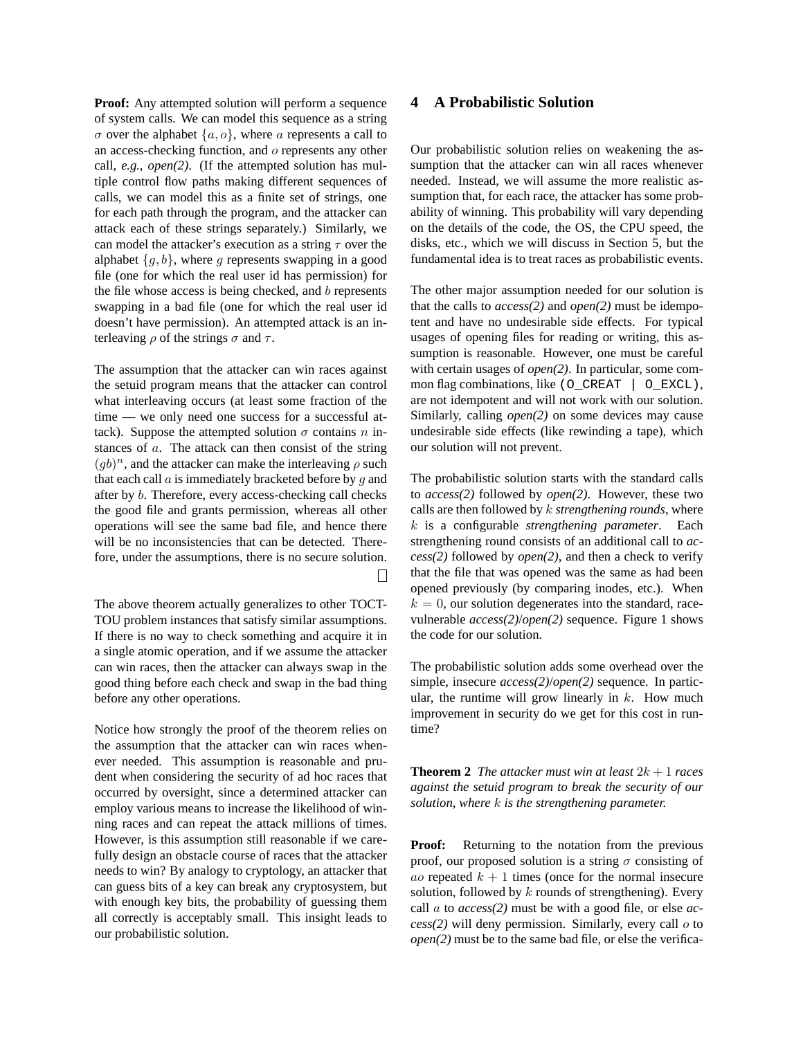**Proof:** Any attempted solution will perform a sequence of system calls. We can model this sequence as a string  $\sigma$  over the alphabet  $\{a, o\}$ , where a represents a call to an access-checking function, and o represents any other call, *e.g.*, *open(2)*. (If the attempted solution has multiple control flow paths making different sequences of calls, we can model this as a finite set of strings, one for each path through the program, and the attacker can attack each of these strings separately.) Similarly, we can model the attacker's execution as a string  $\tau$  over the alphabet  $\{g, b\}$ , where g represents swapping in a good file (one for which the real user id has permission) for the file whose access is being checked, and  $b$  represents swapping in a bad file (one for which the real user id doesn't have permission). An attempted attack is an interleaving  $\rho$  of the strings  $\sigma$  and  $\tau$ .

The assumption that the attacker can win races against the setuid program means that the attacker can control what interleaving occurs (at least some fraction of the time — we only need one success for a successful attack). Suppose the attempted solution  $\sigma$  contains n instances of a. The attack can then consist of the string  $(gb)^n$ , and the attacker can make the interleaving  $\rho$  such that each call  $a$  is immediately bracketed before by  $g$  and after by b. Therefore, every access-checking call checks the good file and grants permission, whereas all other operations will see the same bad file, and hence there will be no inconsistencies that can be detected. Therefore, under the assumptions, there is no secure solution.

The above theorem actually generalizes to other TOCT-TOU problem instances that satisfy similar assumptions. If there is no way to check something and acquire it in a single atomic operation, and if we assume the attacker can win races, then the attacker can always swap in the good thing before each check and swap in the bad thing before any other operations.

 $\perp$ 

Notice how strongly the proof of the theorem relies on the assumption that the attacker can win races whenever needed. This assumption is reasonable and prudent when considering the security of ad hoc races that occurred by oversight, since a determined attacker can employ various means to increase the likelihood of winning races and can repeat the attack millions of times. However, is this assumption still reasonable if we carefully design an obstacle course of races that the attacker needs to win? By analogy to cryptology, an attacker that can guess bits of a key can break any cryptosystem, but with enough key bits, the probability of guessing them all correctly is acceptably small. This insight leads to our probabilistic solution.

## **4 A Probabilistic Solution**

Our probabilistic solution relies on weakening the assumption that the attacker can win all races whenever needed. Instead, we will assume the more realistic assumption that, for each race, the attacker has some probability of winning. This probability will vary depending on the details of the code, the OS, the CPU speed, the disks, etc., which we will discuss in Section 5, but the fundamental idea is to treat races as probabilistic events.

The other major assumption needed for our solution is that the calls to *access(2)* and *open(2)* must be idempotent and have no undesirable side effects. For typical usages of opening files for reading or writing, this assumption is reasonable. However, one must be careful with certain usages of *open(2)*. In particular, some common flag combinations, like (O\_CREAT | O\_EXCL), are not idempotent and will not work with our solution. Similarly, calling *open(2)* on some devices may cause undesirable side effects (like rewinding a tape), which our solution will not prevent.

The probabilistic solution starts with the standard calls to *access(2)* followed by *open(2)*. However, these two calls are then followed by k *strengthening rounds*, where k is a configurable *strengthening parameter*. Each strengthening round consists of an additional call to *access(2)* followed by *open(2)*, and then a check to verify that the file that was opened was the same as had been opened previously (by comparing inodes, etc.). When  $k = 0$ , our solution degenerates into the standard, racevulnerable *access(2)*/*open(2)* sequence. Figure 1 shows the code for our solution.

The probabilistic solution adds some overhead over the simple, insecure *access(2)*/*open(2)* sequence. In particular, the runtime will grow linearly in  $k$ . How much improvement in security do we get for this cost in runtime?

**Theorem 2** *The attacker must win at least*  $2k + 1$  *races against the setuid program to break the security of our solution, where* k *is the strengthening parameter.*

**Proof:** Returning to the notation from the previous proof, our proposed solution is a string  $\sigma$  consisting of *ao* repeated  $k + 1$  times (once for the normal insecure solution, followed by  $k$  rounds of strengthening). Every call a to *access(2)* must be with a good file, or else *access(2)* will deny permission. Similarly, every call o to *open(2)* must be to the same bad file, or else the verifica-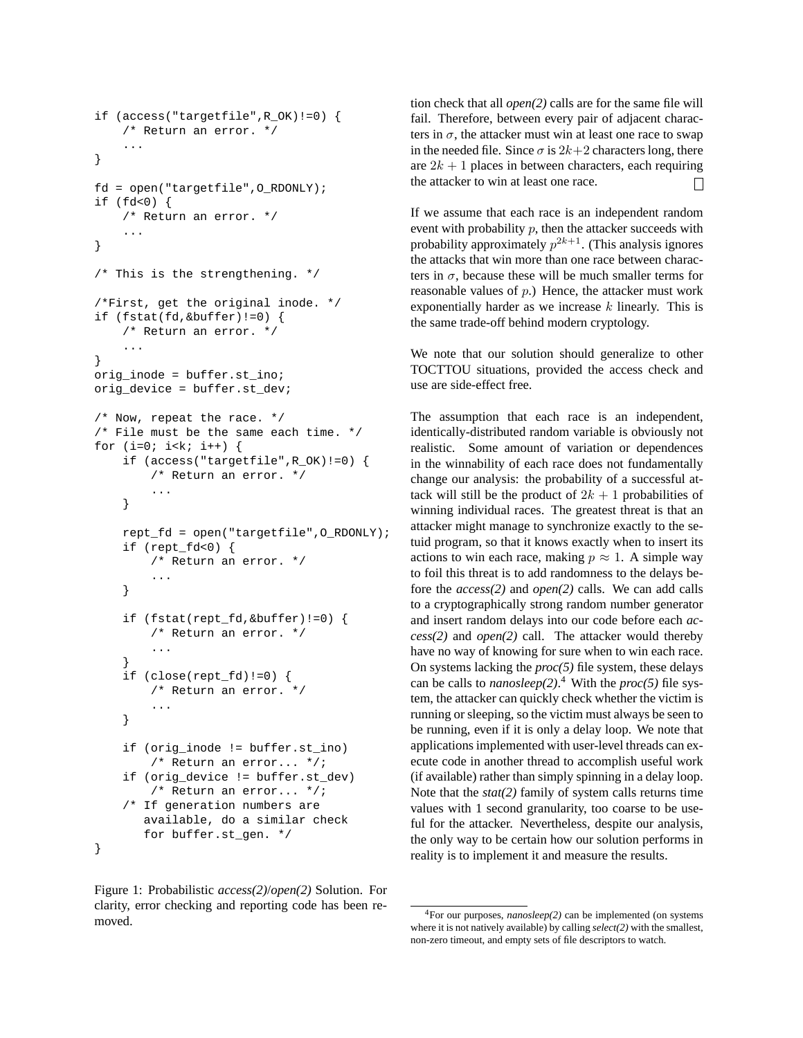```
if (access("targetfile",R_OK)!=0) {
    /* Return an error. */
    ...
}
fd = open("targetfile",O_RDONLY);
if (fd<0) {
    /* Return an error. */
    ...
}
/* This is the strengthening. */
/*First, get the original inode. */
if (fstat(fd,&buffer)!=0) {
    /* Return an error. */
    ...
}
orig_inode = buffer.st_ino;
orig_device = buffer.st_dev;
/* Now, repeat the race. */
/* File must be the same each time. */
for (i=0; i< k; i++) {
    if (access("targetfile",R_OK)!=0) {
        /* Return an error. */
        ...
    }
    rept_fd = open("targetfile",O_RDONLY);
    if (rept_fd<0) {
        /* Return an error. */
        ...
    }
    if (fstat(rept_fd,&buffer)!=0) {
        /* Return an error. */
        ...
    }
    if (close(rept_fd)!=0) {
        /* Return an error. */
        ...
    }
    if (orig_inode != buffer.st_ino)
        /* Return an error... */;
    if (orig_device != buffer.st_dev)
        /* Return an error... */;
    /* If generation numbers are
       available, do a similar check
       for buffer.st_gen. */
}
```
Figure 1: Probabilistic *access(2)*/*open(2)* Solution. For clarity, error checking and reporting code has been removed.

tion check that all *open(2)* calls are for the same file will fail. Therefore, between every pair of adjacent characters in  $\sigma$ , the attacker must win at least one race to swap in the needed file. Since  $\sigma$  is  $2k+2$  characters long, there are  $2k + 1$  places in between characters, each requiring the attacker to win at least one race.  $\mathsf{L}$ 

If we assume that each race is an independent random event with probability  $p$ , then the attacker succeeds with probability approximately  $p^{2k+1}$ . (This analysis ignores the attacks that win more than one race between characters in  $\sigma$ , because these will be much smaller terms for reasonable values of  $p$ .) Hence, the attacker must work exponentially harder as we increase  $k$  linearly. This is the same trade-off behind modern cryptology.

We note that our solution should generalize to other TOCTTOU situations, provided the access check and use are side-effect free.

The assumption that each race is an independent, identically-distributed random variable is obviously not realistic. Some amount of variation or dependences in the winnability of each race does not fundamentally change our analysis: the probability of a successful attack will still be the product of  $2k + 1$  probabilities of winning individual races. The greatest threat is that an attacker might manage to synchronize exactly to the setuid program, so that it knows exactly when to insert its actions to win each race, making  $p \approx 1$ . A simple way to foil this threat is to add randomness to the delays before the *access(2)* and *open(2)* calls. We can add calls to a cryptographically strong random number generator and insert random delays into our code before each *access(2)* and *open(2)* call. The attacker would thereby have no way of knowing for sure when to win each race. On systems lacking the *proc(5)* file system, these delays can be calls to *nanosleep(2)*. <sup>4</sup> With the *proc(5)* file system, the attacker can quickly check whether the victim is running or sleeping, so the victim must always be seen to be running, even if it is only a delay loop. We note that applications implemented with user-level threads can execute code in another thread to accomplish useful work (if available) rather than simply spinning in a delay loop. Note that the *stat(2)* family of system calls returns time values with 1 second granularity, too coarse to be useful for the attacker. Nevertheless, despite our analysis, the only way to be certain how our solution performs in reality is to implement it and measure the results.

<sup>4</sup>For our purposes, *nanosleep(2)* can be implemented (on systems where it is not natively available) by calling *select(2)* with the smallest, non-zero timeout, and empty sets of file descriptors to watch.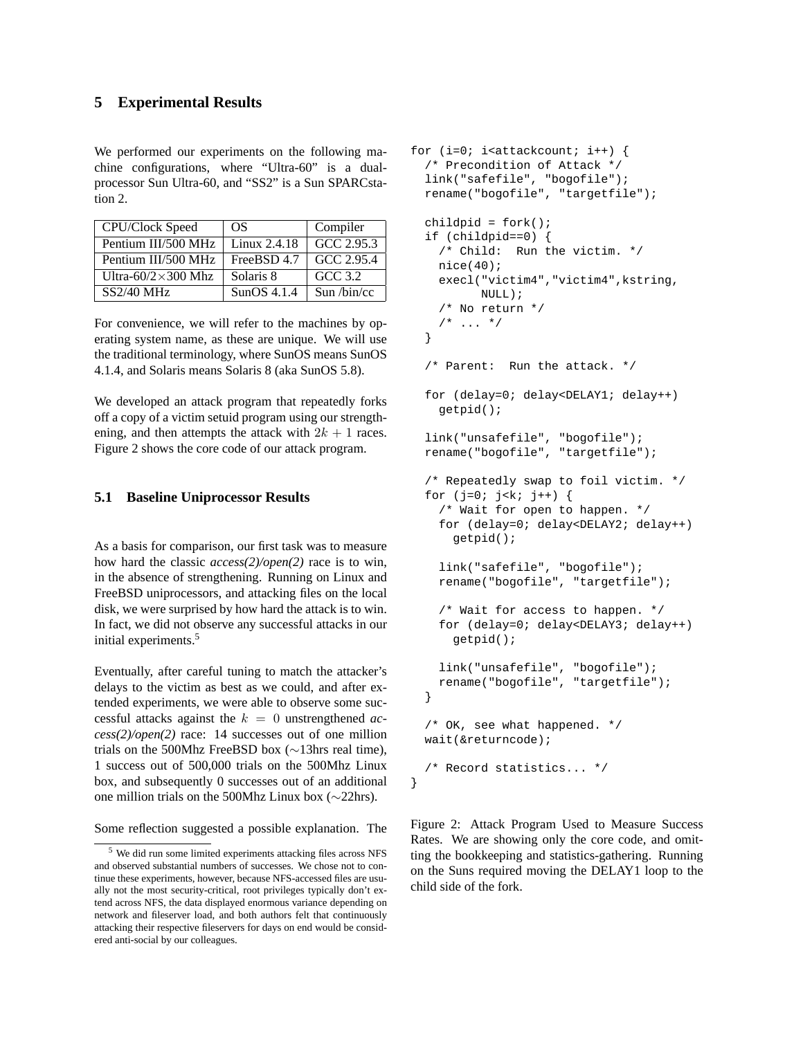# **5 Experimental Results**

We performed our experiments on the following machine configurations, where "Ultra-60" is a dualprocessor Sun Ultra-60, and "SS2" is a Sun SPARCstation 2.

| CPU/Clock Speed             | OS.          | Compiler                 |
|-----------------------------|--------------|--------------------------|
| Pentium III/500 MHz         | Linux 2.4.18 | GCC 2.95.3               |
| Pentium III/500 MHz         | FreeBSD 4.7  | GCC 2.95.4               |
| Ultra-60/2 $\times$ 300 Mhz | Solaris 8    | $GCC$ 3.2                |
| $SS2/40$ MHz                | SunOS 4.1.4  | Sun / $bin\overline{cc}$ |

For convenience, we will refer to the machines by operating system name, as these are unique. We will use the traditional terminology, where SunOS means SunOS 4.1.4, and Solaris means Solaris 8 (aka SunOS 5.8).

We developed an attack program that repeatedly forks off a copy of a victim setuid program using our strengthening, and then attempts the attack with  $2k + 1$  races. Figure 2 shows the core code of our attack program.

#### **5.1 Baseline Uniprocessor Results**

As a basis for comparison, our first task was to measure how hard the classic *access(2)/open(2)* race is to win, in the absence of strengthening. Running on Linux and FreeBSD uniprocessors, and attacking files on the local disk, we were surprised by how hard the attack is to win. In fact, we did not observe any successful attacks in our initial experiments.<sup>5</sup>

Eventually, after careful tuning to match the attacker's delays to the victim as best as we could, and after extended experiments, we were able to observe some successful attacks against the  $k = 0$  unstrengthened *access(2)/open(2)* race: 14 successes out of one million trials on the 500Mhz FreeBSD box (∼13hrs real time), 1 success out of 500,000 trials on the 500Mhz Linux box, and subsequently 0 successes out of an additional one million trials on the 500Mhz Linux box (∼22hrs).

Some reflection suggested a possible explanation. The

```
for (i=0; i < atackcount; i++) {
  /* Precondition of Attack */
  link("safefile", "bogofile");
  rename("bogofile", "targetfile");
  childpid = fork();
  if (childpid==0) {
    /* Child: Run the victim. */
    nice(40);
    execl("victim4","victim4",kstring,
          NULL);
    /* No return */
    /* ... */
  }
  /* Parent: Run the attack. */
  for (delay=0; delay<DELAY1; delay++)
    getpid();
  link("unsafefile", "bogofile");
  rename("bogofile", "targetfile");
  /* Repeatedly swap to foil victim. */
  for (j=0; j< k; j++) {
    /* Wait for open to happen. */
    for (delay=0; delay<DELAY2; delay++)
      getpid();
    link("safefile", "bogofile");
    rename("bogofile", "targetfile");
    /* Wait for access to happen. */
    for (delay=0; delay<DELAY3; delay++)
      getpid();
    link("unsafefile", "bogofile");
    rename("bogofile", "targetfile");
  }
  /* OK, see what happened. */
 wait(&returncode);
  /* Record statistics... */
```
Figure 2: Attack Program Used to Measure Success Rates. We are showing only the core code, and omitting the bookkeeping and statistics-gathering. Running on the Suns required moving the DELAY1 loop to the child side of the fork.

}

<sup>5</sup> We did run some limited experiments attacking files across NFS and observed substantial numbers of successes. We chose not to continue these experiments, however, because NFS-accessed files are usually not the most security-critical, root privileges typically don't extend across NFS, the data displayed enormous variance depending on network and fileserver load, and both authors felt that continuously attacking their respective fileservers for days on end would be considered anti-social by our colleagues.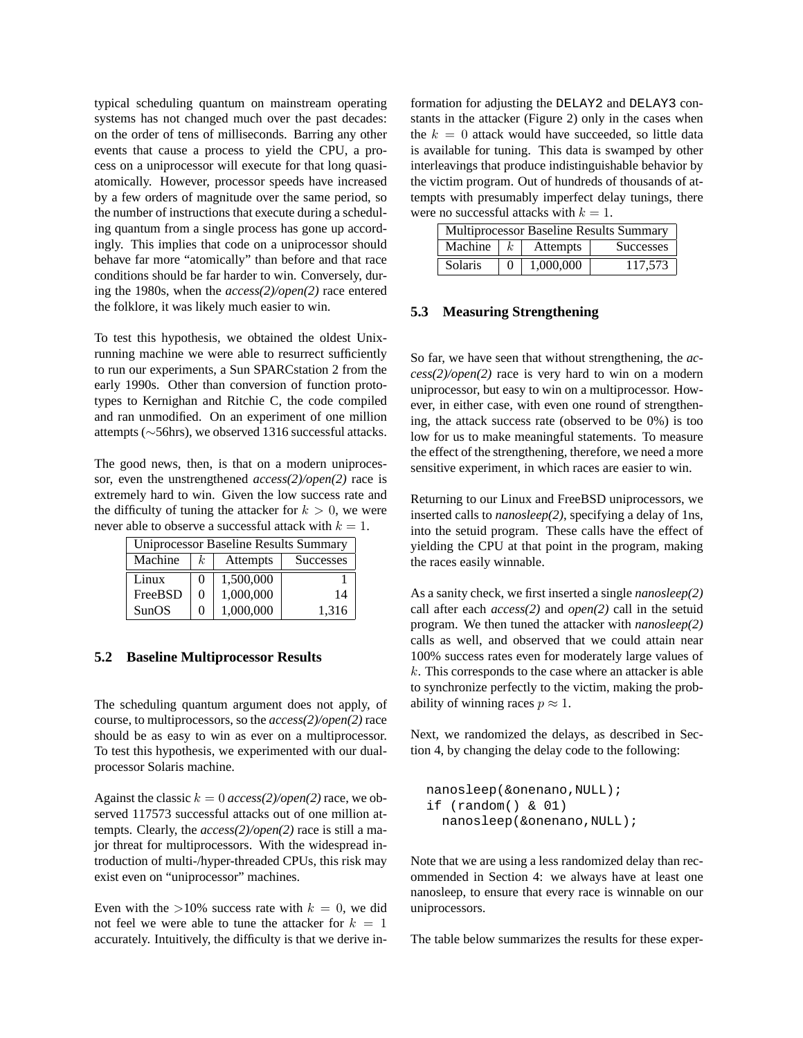typical scheduling quantum on mainstream operating systems has not changed much over the past decades: on the order of tens of milliseconds. Barring any other events that cause a process to yield the CPU, a process on a uniprocessor will execute for that long quasiatomically. However, processor speeds have increased by a few orders of magnitude over the same period, so the number of instructions that execute during a scheduling quantum from a single process has gone up accordingly. This implies that code on a uniprocessor should behave far more "atomically" than before and that race conditions should be far harder to win. Conversely, during the 1980s, when the *access(2)/open(2)* race entered the folklore, it was likely much easier to win.

To test this hypothesis, we obtained the oldest Unixrunning machine we were able to resurrect sufficiently to run our experiments, a Sun SPARCstation 2 from the early 1990s. Other than conversion of function prototypes to Kernighan and Ritchie C, the code compiled and ran unmodified. On an experiment of one million attempts (∼56hrs), we observed 1316 successful attacks.

The good news, then, is that on a modern uniprocessor, even the unstrengthened *access(2)/open(2)* race is extremely hard to win. Given the low success rate and the difficulty of tuning the attacker for  $k > 0$ , we were never able to observe a successful attack with  $k = 1$ .

| <b>Uniprocessor Baseline Results Summary</b> |                |           |                  |  |
|----------------------------------------------|----------------|-----------|------------------|--|
| Machine                                      | k <sub>i</sub> | Attempts  | <b>Successes</b> |  |
| Linux                                        | $\mathbf{0}$   | 1,500,000 |                  |  |
| FreeBSD                                      | 0              | 1,000,000 | 14               |  |
| SunOS                                        | 0              | 1,000,000 | 1.316            |  |

#### **5.2 Baseline Multiprocessor Results**

The scheduling quantum argument does not apply, of course, to multiprocessors, so the *access(2)/open(2)* race should be as easy to win as ever on a multiprocessor. To test this hypothesis, we experimented with our dualprocessor Solaris machine.

Against the classic  $k = 0$  *access(2)/open(2)* race, we observed 117573 successful attacks out of one million attempts. Clearly, the *access(2)/open(2)* race is still a major threat for multiprocessors. With the widespread introduction of multi-/hyper-threaded CPUs, this risk may exist even on "uniprocessor" machines.

Even with the  $>10\%$  success rate with  $k = 0$ , we did not feel we were able to tune the attacker for  $k = 1$ accurately. Intuitively, the difficulty is that we derive in-

formation for adjusting the DELAY2 and DELAY3 constants in the attacker (Figure 2) only in the cases when the  $k = 0$  attack would have succeeded, so little data is available for tuning. This data is swamped by other interleavings that produce indistinguishable behavior by the victim program. Out of hundreds of thousands of attempts with presumably imperfect delay tunings, there were no successful attacks with  $k = 1$ .

| <b>Multiprocessor Baseline Results Summary</b> |  |           |                  |
|------------------------------------------------|--|-----------|------------------|
| Machine $\mid k \mid$                          |  | Attempts  | <b>Successes</b> |
| Solaris                                        |  | 1,000,000 | 117.573          |

#### **5.3 Measuring Strengthening**

So far, we have seen that without strengthening, the *access(2)/open(2)* race is very hard to win on a modern uniprocessor, but easy to win on a multiprocessor. However, in either case, with even one round of strengthening, the attack success rate (observed to be 0%) is too low for us to make meaningful statements. To measure the effect of the strengthening, therefore, we need a more sensitive experiment, in which races are easier to win.

Returning to our Linux and FreeBSD uniprocessors, we inserted calls to *nanosleep(2)*, specifying a delay of 1ns, into the setuid program. These calls have the effect of yielding the CPU at that point in the program, making the races easily winnable.

As a sanity check, we first inserted a single *nanosleep(2)* call after each *access(2)* and *open(2)* call in the setuid program. We then tuned the attacker with *nanosleep(2)* calls as well, and observed that we could attain near 100% success rates even for moderately large values of  $k$ . This corresponds to the case where an attacker is able to synchronize perfectly to the victim, making the probability of winning races  $p \approx 1$ .

Next, we randomized the delays, as described in Section 4, by changing the delay code to the following:

```
nanosleep(&onenano,NULL);
if (random() & 01)
  nanosleep(&onenano,NULL);
```
Note that we are using a less randomized delay than recommended in Section 4: we always have at least one nanosleep, to ensure that every race is winnable on our uniprocessors.

The table below summarizes the results for these exper-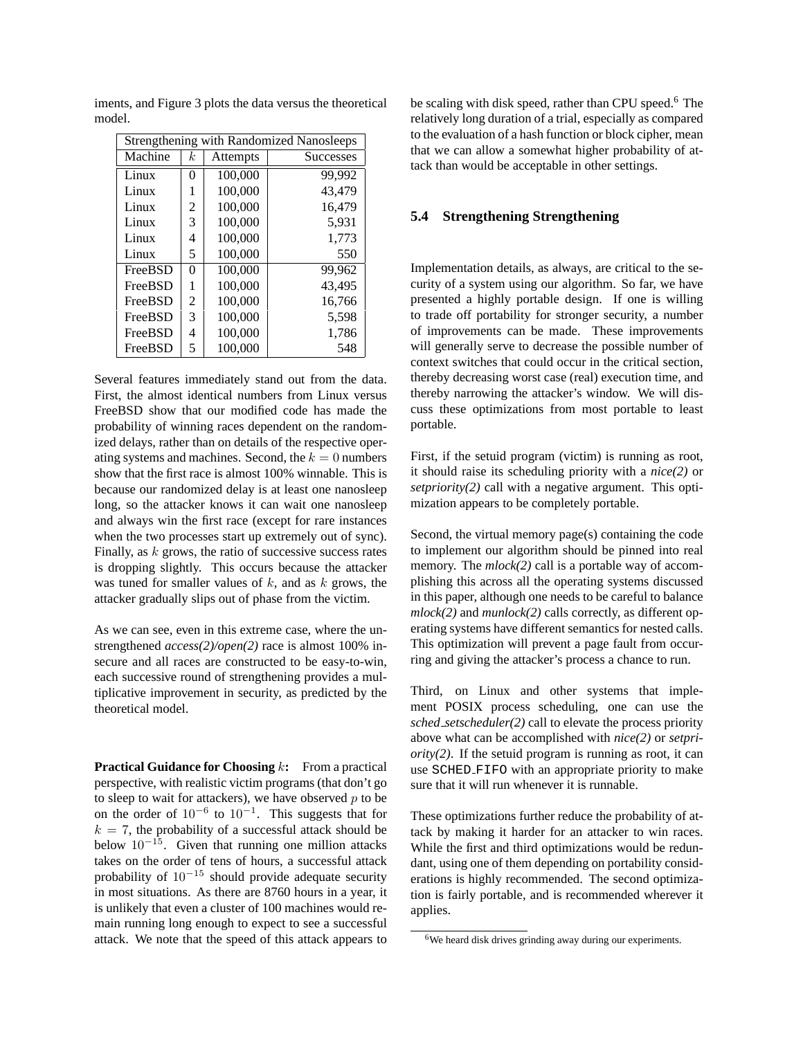| <b>Strengthening with Randomized Nanosleeps</b> |                  |          |                  |
|-------------------------------------------------|------------------|----------|------------------|
| Machine                                         | $\boldsymbol{k}$ | Attempts | <b>Successes</b> |
| Linux                                           | 0                | 100,000  | 99,992           |
| Linux                                           | 1                | 100,000  | 43,479           |
| Linux                                           | 2                | 100,000  | 16,479           |
| Linux                                           | 3                | 100,000  | 5,931            |
| Linux                                           | 4                | 100,000  | 1,773            |
| Linux                                           | 5                | 100,000  | 550              |
| FreeBSD                                         | 0                | 100,000  | 99,962           |
| FreeBSD                                         | 1                | 100,000  | 43,495           |
| FreeBSD                                         | 2                | 100,000  | 16,766           |
| FreeBSD                                         | 3                | 100,000  | 5,598            |
| FreeBSD                                         | 4                | 100,000  | 1,786            |
| FreeBSD                                         | 5                | 100,000  | 548              |

iments, and Figure 3 plots the data versus the theoretical model.

Several features immediately stand out from the data. First, the almost identical numbers from Linux versus FreeBSD show that our modified code has made the probability of winning races dependent on the randomized delays, rather than on details of the respective operating systems and machines. Second, the  $k = 0$  numbers show that the first race is almost 100% winnable. This is because our randomized delay is at least one nanosleep long, so the attacker knows it can wait one nanosleep and always win the first race (except for rare instances when the two processes start up extremely out of sync). Finally, as  $k$  grows, the ratio of successive success rates is dropping slightly. This occurs because the attacker was tuned for smaller values of  $k$ , and as  $k$  grows, the attacker gradually slips out of phase from the victim.

As we can see, even in this extreme case, where the unstrengthened  $access(2)/open(2)$  race is almost 100% insecure and all races are constructed to be easy-to-win, each successive round of strengthening provides a multiplicative improvement in security, as predicted by the theoretical model.

**Practical Guidance for Choosing k:** From a practical perspective, with realistic victim programs (that don't go to sleep to wait for attackers), we have observed  $p$  to be on the order of  $10^{-6}$  to  $10^{-1}$ . This suggests that for  $k = 7$ , the probability of a successful attack should be below  $10^{-15}$ . Given that running one million attacks takes on the order of tens of hours, a successful attack probability of  $10^{-15}$  should provide adequate security in most situations. As there are 8760 hours in a year, it is unlikely that even a cluster of 100 machines would remain running long enough to expect to see a successful attack. We note that the speed of this attack appears to be scaling with disk speed, rather than CPU speed.<sup>6</sup> The relatively long duration of a trial, especially as compared to the evaluation of a hash function or block cipher, mean that we can allow a somewhat higher probability of attack than would be acceptable in other settings.

#### **5.4 Strengthening Strengthening**

Implementation details, as always, are critical to the security of a system using our algorithm. So far, we have presented a highly portable design. If one is willing to trade off portability for stronger security, a number of improvements can be made. These improvements will generally serve to decrease the possible number of context switches that could occur in the critical section, thereby decreasing worst case (real) execution time, and thereby narrowing the attacker's window. We will discuss these optimizations from most portable to least portable.

First, if the setuid program (victim) is running as root, it should raise its scheduling priority with a *nice(2)* or *setpriority(2)* call with a negative argument. This optimization appears to be completely portable.

Second, the virtual memory page(s) containing the code to implement our algorithm should be pinned into real memory. The  $mlock(2)$  call is a portable way of accomplishing this across all the operating systems discussed in this paper, although one needs to be careful to balance *mlock(2)* and *munlock(2)* calls correctly, as different operating systems have different semantics for nested calls. This optimization will prevent a page fault from occurring and giving the attacker's process a chance to run.

Third, on Linux and other systems that implement POSIX process scheduling, one can use the *sched setscheduler(2)* call to elevate the process priority above what can be accomplished with *nice(2)* or *setpriority(2)*. If the setuid program is running as root, it can use SCHED FIFO with an appropriate priority to make sure that it will run whenever it is runnable.

These optimizations further reduce the probability of attack by making it harder for an attacker to win races. While the first and third optimizations would be redundant, using one of them depending on portability considerations is highly recommended. The second optimization is fairly portable, and is recommended wherever it applies.

<sup>&</sup>lt;sup>6</sup>We heard disk drives grinding away during our experiments.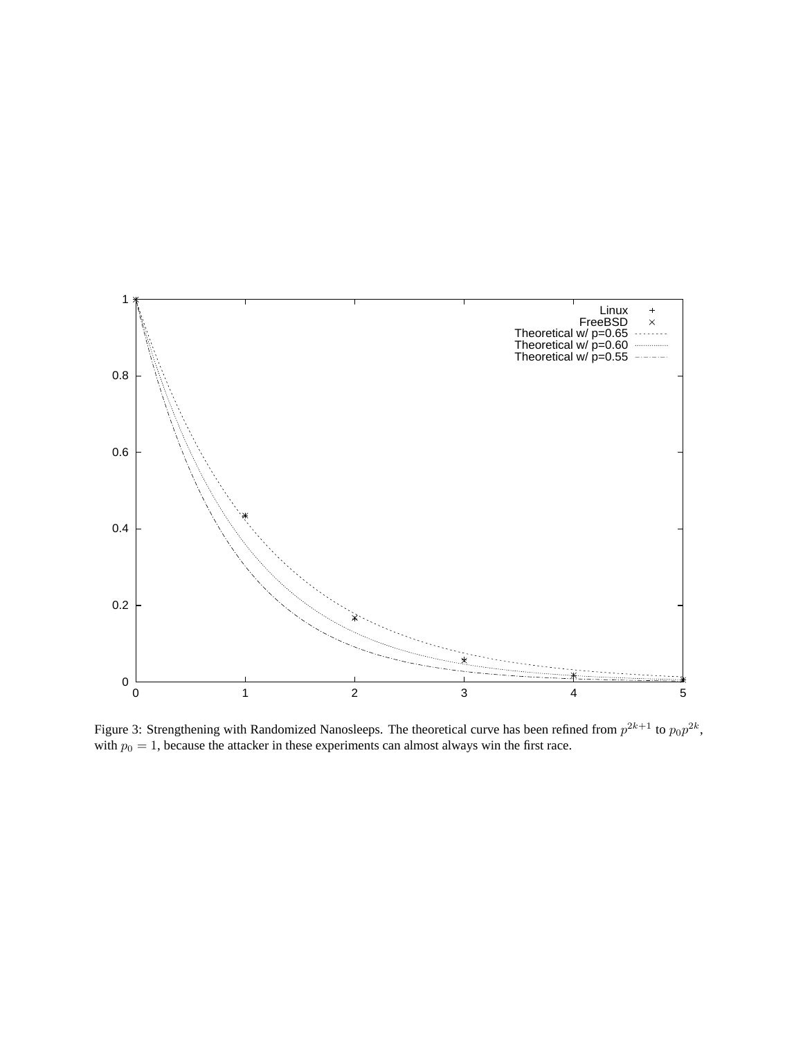

Figure 3: Strengthening with Randomized Nanosleeps. The theoretical curve has been refined from  $p^{2k+1}$  to  $p_0p^{2k}$ , with  $p_0 = 1$ , because the attacker in these experiments can almost always win the first race.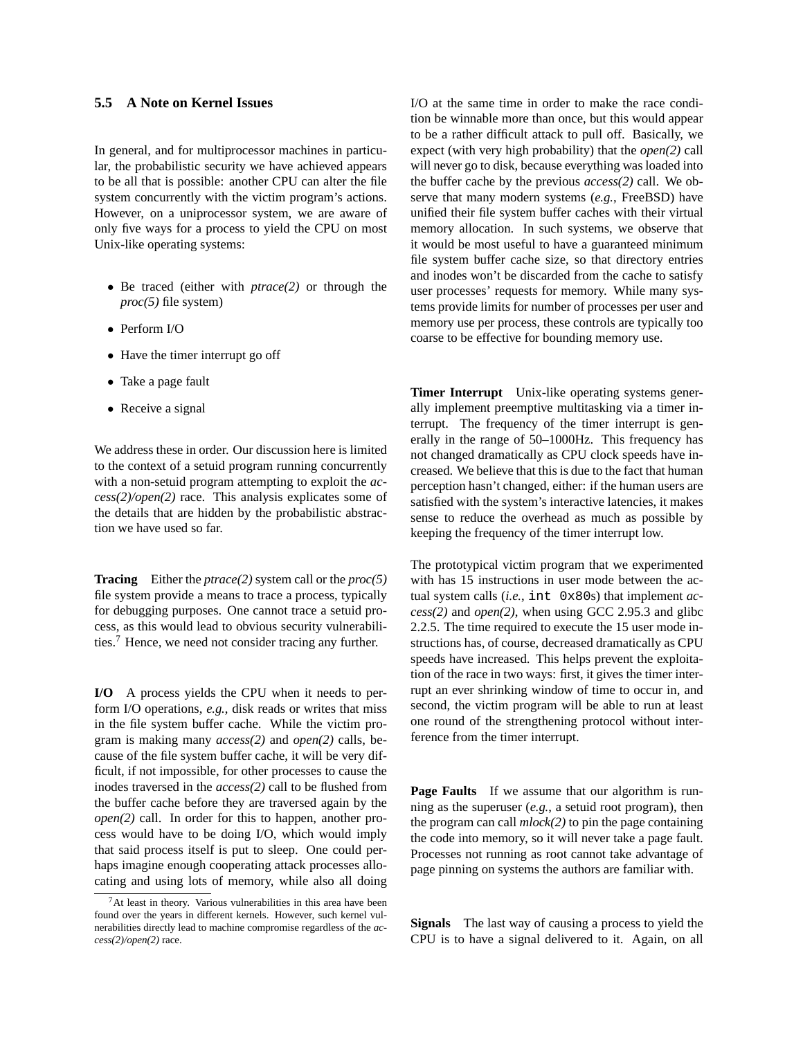# **5.5 A Note on Kernel Issues**

In general, and for multiprocessor machines in particular, the probabilistic security we have achieved appears to be all that is possible: another CPU can alter the file system concurrently with the victim program's actions. However, on a uniprocessor system, we are aware of only five ways for a process to yield the CPU on most Unix-like operating systems:

- Be traced (either with *ptrace(2)* or through the *proc(5)* file system)
- Perform I/O
- Have the timer interrupt go off
- Take a page fault
- Receive a signal

We address these in order. Our discussion here is limited to the context of a setuid program running concurrently with a non-setuid program attempting to exploit the *access(2)/open(2)* race. This analysis explicates some of the details that are hidden by the probabilistic abstraction we have used so far.

**Tracing** Either the *ptrace(2)* system call or the *proc(5)* file system provide a means to trace a process, typically for debugging purposes. One cannot trace a setuid process, as this would lead to obvious security vulnerabilities.<sup>7</sup> Hence, we need not consider tracing any further.

**I/O** A process yields the CPU when it needs to perform I/O operations, *e.g.*, disk reads or writes that miss in the file system buffer cache. While the victim program is making many *access(2)* and *open(2)* calls, because of the file system buffer cache, it will be very difficult, if not impossible, for other processes to cause the inodes traversed in the *access(2)* call to be flushed from the buffer cache before they are traversed again by the *open(2)* call. In order for this to happen, another process would have to be doing I/O, which would imply that said process itself is put to sleep. One could perhaps imagine enough cooperating attack processes allocating and using lots of memory, while also all doing

I/O at the same time in order to make the race condition be winnable more than once, but this would appear to be a rather difficult attack to pull off. Basically, we expect (with very high probability) that the *open(2)* call will never go to disk, because everything was loaded into the buffer cache by the previous *access(2)* call. We observe that many modern systems (*e.g.*, FreeBSD) have unified their file system buffer caches with their virtual memory allocation. In such systems, we observe that it would be most useful to have a guaranteed minimum file system buffer cache size, so that directory entries and inodes won't be discarded from the cache to satisfy user processes' requests for memory. While many systems provide limits for number of processes per user and memory use per process, these controls are typically too coarse to be effective for bounding memory use.

**Timer Interrupt** Unix-like operating systems generally implement preemptive multitasking via a timer interrupt. The frequency of the timer interrupt is generally in the range of 50–1000Hz. This frequency has not changed dramatically as CPU clock speeds have increased. We believe that this is due to the fact that human perception hasn't changed, either: if the human users are satisfied with the system's interactive latencies, it makes sense to reduce the overhead as much as possible by keeping the frequency of the timer interrupt low.

The prototypical victim program that we experimented with has 15 instructions in user mode between the actual system calls (*i.e.*, int 0x80s) that implement *access(2)* and *open(2)*, when using GCC 2.95.3 and glibc 2.2.5. The time required to execute the 15 user mode instructions has, of course, decreased dramatically as CPU speeds have increased. This helps prevent the exploitation of the race in two ways: first, it gives the timer interrupt an ever shrinking window of time to occur in, and second, the victim program will be able to run at least one round of the strengthening protocol without interference from the timer interrupt.

**Page Faults** If we assume that our algorithm is running as the superuser (*e.g.*, a setuid root program), then the program can call *mlock(2)* to pin the page containing the code into memory, so it will never take a page fault. Processes not running as root cannot take advantage of page pinning on systems the authors are familiar with.

**Signals** The last way of causing a process to yield the CPU is to have a signal delivered to it. Again, on all

<sup>7</sup>At least in theory. Various vulnerabilities in this area have been found over the years in different kernels. However, such kernel vulnerabilities directly lead to machine compromise regardless of the *access(2)/open(2)* race.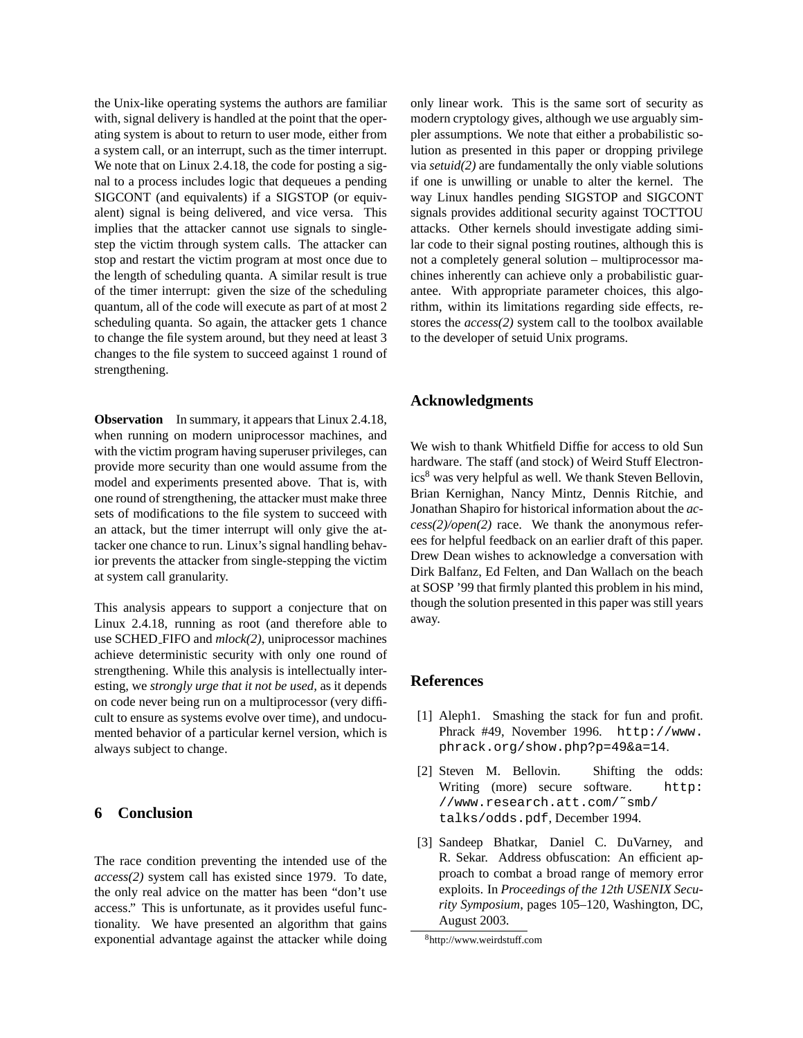the Unix-like operating systems the authors are familiar with, signal delivery is handled at the point that the operating system is about to return to user mode, either from a system call, or an interrupt, such as the timer interrupt. We note that on Linux 2.4.18, the code for posting a signal to a process includes logic that dequeues a pending SIGCONT (and equivalents) if a SIGSTOP (or equivalent) signal is being delivered, and vice versa. This implies that the attacker cannot use signals to singlestep the victim through system calls. The attacker can stop and restart the victim program at most once due to the length of scheduling quanta. A similar result is true of the timer interrupt: given the size of the scheduling quantum, all of the code will execute as part of at most 2 scheduling quanta. So again, the attacker gets 1 chance to change the file system around, but they need at least 3 changes to the file system to succeed against 1 round of strengthening.

**Observation** In summary, it appears that Linux 2.4.18, when running on modern uniprocessor machines, and with the victim program having superuser privileges, can provide more security than one would assume from the model and experiments presented above. That is, with one round of strengthening, the attacker must make three sets of modifications to the file system to succeed with an attack, but the timer interrupt will only give the attacker one chance to run. Linux's signal handling behavior prevents the attacker from single-stepping the victim at system call granularity.

This analysis appears to support a conjecture that on Linux 2.4.18, running as root (and therefore able to use SCHED FIFO and *mlock(2)*, uniprocessor machines achieve deterministic security with only one round of strengthening. While this analysis is intellectually interesting, we *strongly urge that it not be used,* as it depends on code never being run on a multiprocessor (very difficult to ensure as systems evolve over time), and undocumented behavior of a particular kernel version, which is always subject to change.

# **6 Conclusion**

The race condition preventing the intended use of the *access(2)* system call has existed since 1979. To date, the only real advice on the matter has been "don't use access." This is unfortunate, as it provides useful functionality. We have presented an algorithm that gains exponential advantage against the attacker while doing only linear work. This is the same sort of security as modern cryptology gives, although we use arguably simpler assumptions. We note that either a probabilistic solution as presented in this paper or dropping privilege via *setuid(2)* are fundamentally the only viable solutions if one is unwilling or unable to alter the kernel. The way Linux handles pending SIGSTOP and SIGCONT signals provides additional security against TOCTTOU attacks. Other kernels should investigate adding similar code to their signal posting routines, although this is not a completely general solution – multiprocessor machines inherently can achieve only a probabilistic guarantee. With appropriate parameter choices, this algorithm, within its limitations regarding side effects, restores the *access(2)* system call to the toolbox available to the developer of setuid Unix programs.

#### **Acknowledgments**

We wish to thank Whitfield Diffie for access to old Sun hardware. The staff (and stock) of Weird Stuff Electron $ics<sup>8</sup>$  was very helpful as well. We thank Steven Bellovin, Brian Kernighan, Nancy Mintz, Dennis Ritchie, and Jonathan Shapiro for historical information about the *access(2)/open(2)* race. We thank the anonymous referees for helpful feedback on an earlier draft of this paper. Drew Dean wishes to acknowledge a conversation with Dirk Balfanz, Ed Felten, and Dan Wallach on the beach at SOSP '99 that firmly planted this problem in his mind, though the solution presented in this paper was still years away.

#### **References**

- [1] Aleph1. Smashing the stack for fun and profit. Phrack #49, November 1996. http://www. phrack.org/show.php?p=49&a=14.
- [2] Steven M. Bellovin. Shifting the odds: Writing (more) secure software. http: //www.research.att.com/˜smb/ talks/odds.pdf, December 1994.
- [3] Sandeep Bhatkar, Daniel C. DuVarney, and R. Sekar. Address obfuscation: An efficient approach to combat a broad range of memory error exploits. In *Proceedings of the 12th USENIX Security Symposium*, pages 105–120, Washington, DC, August 2003.

<sup>8</sup>http://www.weirdstuff.com